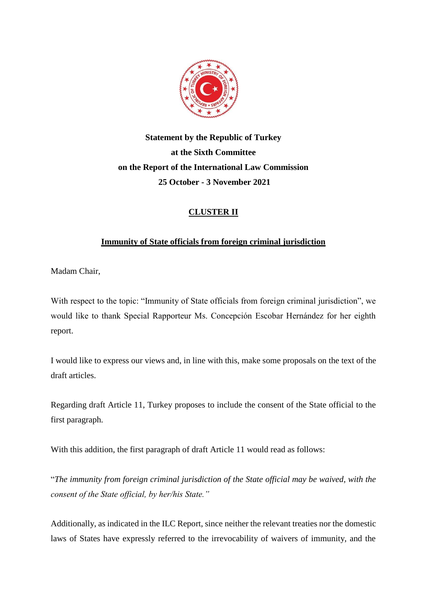

**Statement by the Republic of Turkey at the Sixth Committee on the Report of the International Law Commission 25 October - 3 November 2021**

# **CLUSTER II**

## **Immunity of State officials from foreign criminal jurisdiction**

Madam Chair,

With respect to the topic: "Immunity of State officials from foreign criminal jurisdiction", we would like to thank Special Rapporteur Ms. Concepción Escobar Hernández for her eighth report.

I would like to express our views and, in line with this, make some proposals on the text of the draft articles.

Regarding draft Article 11, Turkey proposes to include the consent of the State official to the first paragraph.

With this addition, the first paragraph of draft Article 11 would read as follows:

"*The immunity from foreign criminal jurisdiction of the State official may be waived, with the consent of the State official, by her/his State."*

Additionally, as indicated in the ILC Report, since neither the relevant treaties nor the domestic laws of States have expressly referred to the irrevocability of waivers of immunity, and the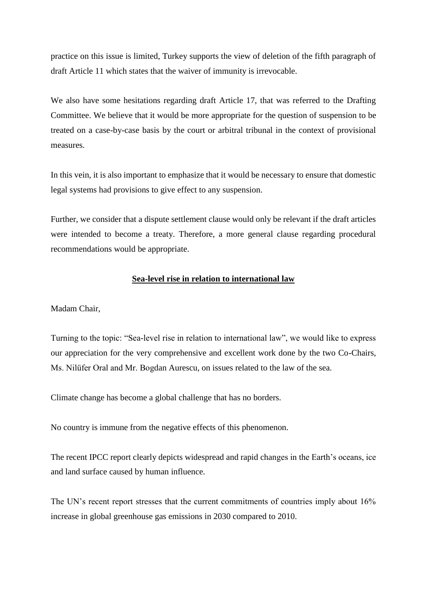practice on this issue is limited, Turkey supports the view of deletion of the fifth paragraph of draft Article 11 which states that the waiver of immunity is irrevocable.

We also have some hesitations regarding draft Article 17, that was referred to the Drafting Committee. We believe that it would be more appropriate for the question of suspension to be treated on a case-by-case basis by the court or arbitral tribunal in the context of provisional measures.

In this vein, it is also important to emphasize that it would be necessary to ensure that domestic legal systems had provisions to give effect to any suspension.

Further, we consider that a dispute settlement clause would only be relevant if the draft articles were intended to become a treaty. Therefore, a more general clause regarding procedural recommendations would be appropriate.

#### **Sea-level rise in relation to international law**

Madam Chair,

Turning to the topic: "Sea-level rise in relation to international law", we would like to express our appreciation for the very comprehensive and excellent work done by the two Co-Chairs, Ms. Nilüfer Oral and Mr. Bogdan Aurescu, on issues related to the law of the sea.

Climate change has become a global challenge that has no borders.

No country is immune from the negative effects of this phenomenon.

The recent IPCC report clearly depicts widespread and rapid changes in the Earth's oceans, ice and land surface caused by human influence.

The UN's recent report stresses that the current commitments of countries imply about 16% increase in global greenhouse gas emissions in 2030 compared to 2010.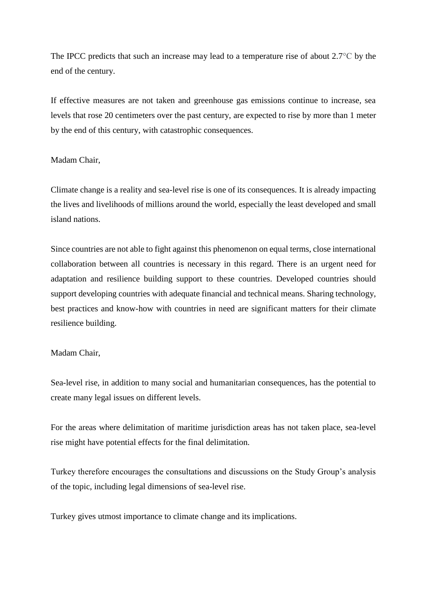The IPCC predicts that such an increase may lead to a temperature rise of about 2.7<sup>o</sup>C by the end of the century.

If effective measures are not taken and greenhouse gas emissions continue to increase, sea levels that rose 20 centimeters over the past century, are expected to rise by more than 1 meter by the end of this century, with catastrophic consequences.

### Madam Chair,

Climate change is a reality and sea-level rise is one of its consequences. It is already impacting the lives and livelihoods of millions around the world, especially the least developed and small island nations.

Since countries are not able to fight against this phenomenon on equal terms, close international collaboration between all countries is necessary in this regard. There is an urgent need for adaptation and resilience building support to these countries. Developed countries should support developing countries with adequate financial and technical means. Sharing technology, best practices and know-how with countries in need are significant matters for their climate resilience building.

#### Madam Chair,

Sea-level rise, in addition to many social and humanitarian consequences, has the potential to create many legal issues on different levels.

For the areas where delimitation of maritime jurisdiction areas has not taken place, sea-level rise might have potential effects for the final delimitation.

Turkey therefore encourages the consultations and discussions on the Study Group's analysis of the topic, including legal dimensions of sea-level rise.

Turkey gives utmost importance to climate change and its implications.